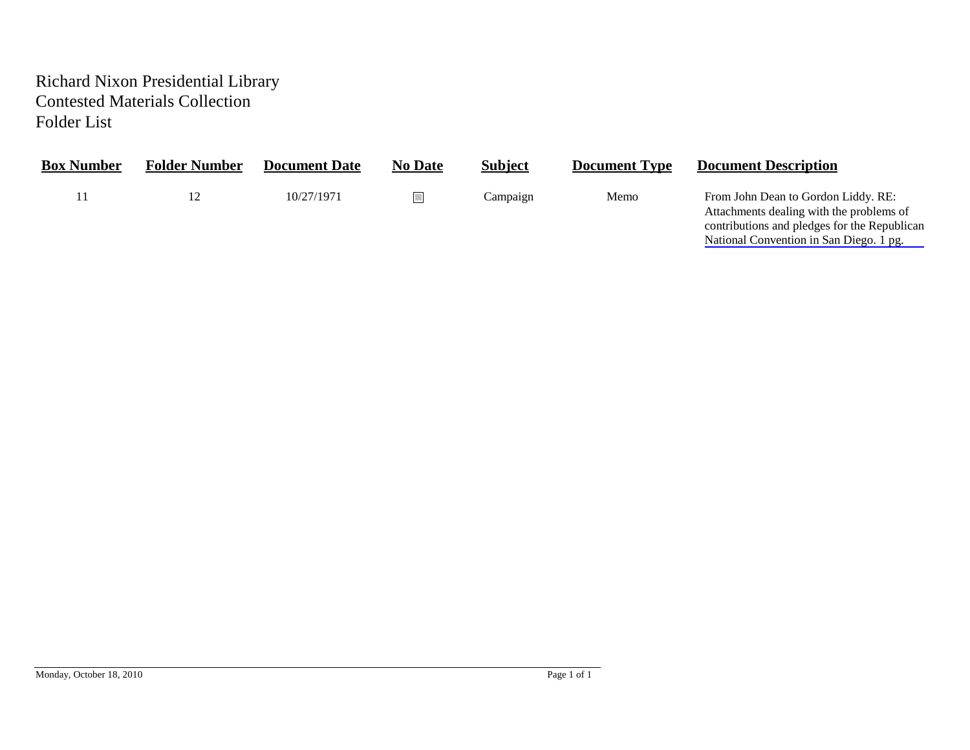## Richard Nixon Presidential Library Contested Materials Collection Folder List

| <b>Box Number</b> | <b>Folder Number</b> | <b>Document Date</b> | <b>No Date</b> | <b>Subject</b> | <b>Document Type</b> | <b>Document Description</b>                                                                                                                                                |
|-------------------|----------------------|----------------------|----------------|----------------|----------------------|----------------------------------------------------------------------------------------------------------------------------------------------------------------------------|
|                   | 12                   | 10/27/1971           |                | Campaign       | Memo                 | From John Dean to Gordon Liddy. RE:<br>Attachments dealing with the problems of<br>contributions and pledges for the Republican<br>National Convention in San Diego. 1 pg. |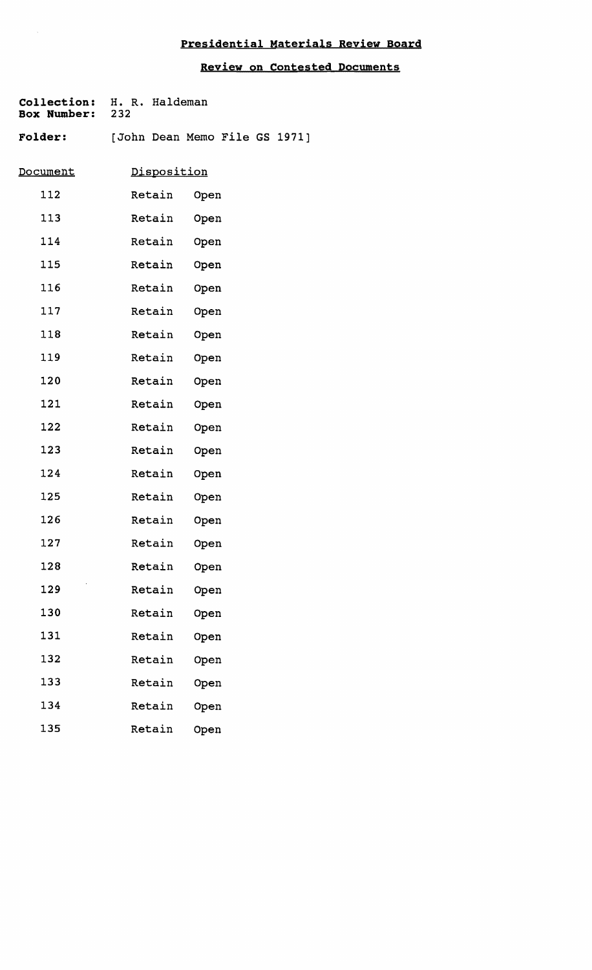## **Presidential Materials Reyiew Board**

**Review on Contested Documents** 

| Collection:<br><b>Box Number:</b> | H. R. Haldeman<br>232         |      |  |
|-----------------------------------|-------------------------------|------|--|
| <b>Folder:</b>                    | [John Dean Memo File GS 1971] |      |  |
| <u>Document</u>                   | Disposition                   |      |  |
| 112                               | Retain                        | Open |  |
| 113                               | Retain                        | Open |  |
| 114                               | Retain                        | Open |  |
| 115                               | Retain                        | Open |  |
| 116                               | Retain                        | Open |  |
| 117                               | Retain                        | Open |  |
| 118                               | Retain                        | Open |  |
| 119                               | Retain                        | Open |  |
| 120                               | Retain                        | Open |  |
| 121                               | Retain                        | Open |  |
| 122                               | Retain                        | Open |  |
| 123                               | Retain                        | Open |  |
| 124                               | Retain                        | Open |  |
| 125                               | Retain                        | Open |  |
| 126                               | Retain                        | Open |  |
| 127                               | Retain                        | Open |  |
| 128                               | Retain                        | Open |  |
| 129                               | Retain                        | Open |  |
| 130                               | Retain                        | Open |  |
| 131                               | Retain                        | Open |  |
| 132                               | Retain                        | Open |  |
| 133                               | Retain                        | Open |  |
| 134                               | Retain                        | Open |  |
| 135                               | Retain                        | Open |  |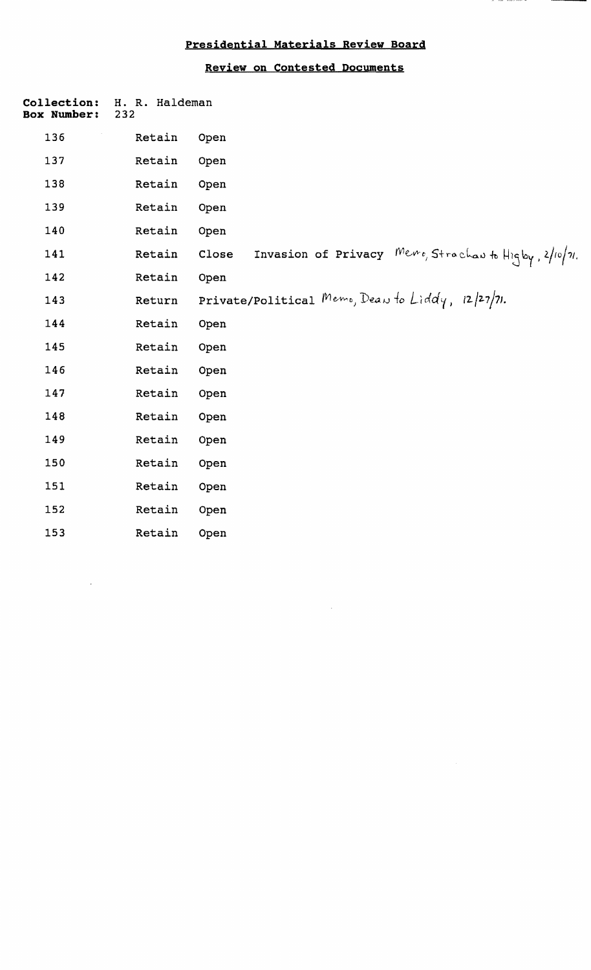## **Presidential Materials Review Board**

## **Review on Contested Documents**

| Collection:<br><b>Box Number:</b> | H. R. Haldeman<br>232 |                                                                        |
|-----------------------------------|-----------------------|------------------------------------------------------------------------|
| 136                               | Retain                | Open                                                                   |
| 137                               | Retain                | Open                                                                   |
| 138                               | Retain                | Open                                                                   |
| 139                               | Retain                | Open                                                                   |
| 140                               | Retain                | Open                                                                   |
| 141                               | Retain                | Invasion of Privacy $Newo, Strachau$ to $Higby$ , $2/10/21$ .<br>Close |
| 142                               | Retain                | Open                                                                   |
| 143                               | Return                | Private/Political Memo, Dean to Liddy, $12/27/71$ .                    |
| 144                               | Retain                | Open                                                                   |
| 145                               | Retain                | Open                                                                   |
| 146                               | Retain                | Open                                                                   |
| 147                               | Retain                | Open                                                                   |
| 148                               | Retain                | Open                                                                   |
| 149                               | Retain                | Open                                                                   |
| 150                               | Retain                | Open                                                                   |
| 151                               | Retain                | Open                                                                   |
| 152                               | Retain                | Open                                                                   |
| 153                               | Retain                | Open                                                                   |
|                                   |                       |                                                                        |

 $\sim$ 

 $\hat{\mathcal{A}}$